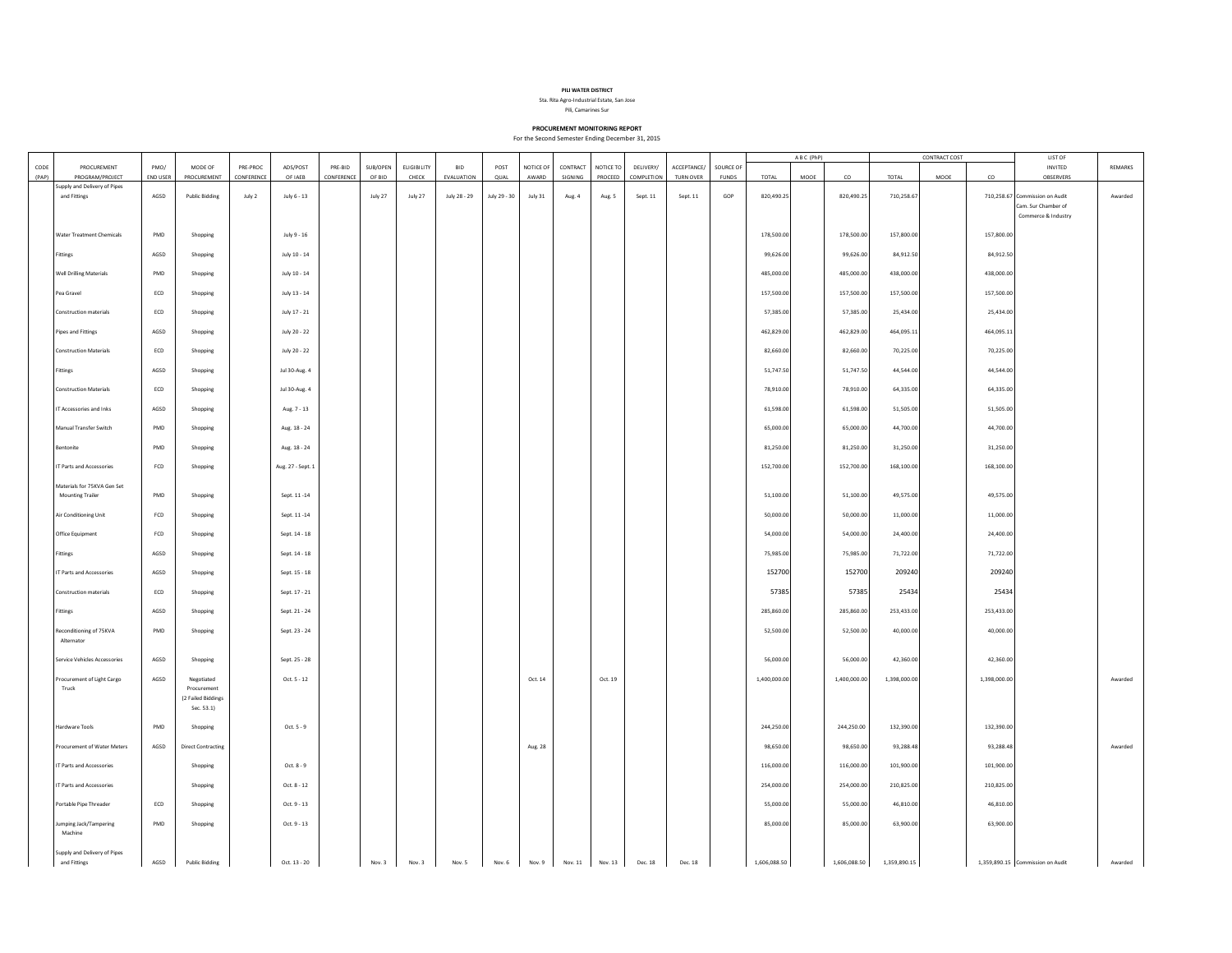

Sta. Rita Agro-Industrial Estate, San Jose Pili, Camarines Sur

**PROCUREMENT MONITORING REPORT**

For the Second Semester Ending December 31, 2015

|               |                                  |                             |                           |                        |                     |                       |                    |                             |                          |              |                    |                     |                      |                         |                          |                           | ABC (PhP)    |      | CONTRACT COST |              |      | <b>LIST OF</b> |                                  |         |
|---------------|----------------------------------|-----------------------------|---------------------------|------------------------|---------------------|-----------------------|--------------------|-----------------------------|--------------------------|--------------|--------------------|---------------------|----------------------|-------------------------|--------------------------|---------------------------|--------------|------|---------------|--------------|------|----------------|----------------------------------|---------|
| CODE<br>(PAP) | PROCUREMENT<br>PROGRAM/PROJECT   | PMO/<br><b>END USER</b>     | MODE OF<br>PROCUREMENT    | PRE-PROC<br>CONFERENCE | ADS/POST<br>OF IAEB | PRE-BID<br>CONFERENCE | SUB/OPEN<br>OF BID | <b>ELIGIBILITY</b><br>CHECK | <b>BID</b><br>EVALUATION | POST<br>QUAL | NOTICE OF<br>AWARD | CONTRACT<br>SIGNING | NOTICE TO<br>PROCEED | DELIVERY/<br>COMPLETION | ACCEPTANCE/<br>TURN OVER | SOURCE OF<br><b>FUNDS</b> | TOTAL        | MOOE | co            | TOTAL        | MOOE | co             | <b>INVITED</b><br>OBSERVERS      | REMARKS |
|               | supply and Delivery of Pipes     |                             |                           |                        |                     |                       |                    |                             |                          |              |                    |                     |                      |                         |                          |                           |              |      |               |              |      |                |                                  |         |
|               | and Fittings                     | AGSD                        | <b>Public Bidding</b>     | July 2                 | July 6 - 13         |                       | July 27            | July 27                     | July 28 - 29             | July 29 - 30 | July 31            | Aug. 4              | Aug. 5               | Sept. 11                | Sept. 11                 | GOP                       | 820,490.25   |      | 820,490.25    | 710,258.67   |      |                | 710,258.67 Commission on Audit   | Awarded |
|               |                                  |                             |                           |                        |                     |                       |                    |                             |                          |              |                    |                     |                      |                         |                          |                           |              |      |               |              |      |                | Cam, Sur Chamber of              |         |
|               |                                  |                             |                           |                        |                     |                       |                    |                             |                          |              |                    |                     |                      |                         |                          |                           |              |      |               |              |      |                | Commerce & Industry              |         |
|               |                                  |                             |                           |                        |                     |                       |                    |                             |                          |              |                    |                     |                      |                         |                          |                           |              |      |               |              |      |                |                                  |         |
|               | <b>Water Treatment Chemicals</b> | PMD                         | Shopping                  |                        | July 9 - 16         |                       |                    |                             |                          |              |                    |                     |                      |                         |                          |                           | 178,500.00   |      | 178,500.00    | 157,800.00   |      | 157,800.00     |                                  |         |
|               | Fittings                         | AGSD                        | Shopping                  |                        | July 10 - 14        |                       |                    |                             |                          |              |                    |                     |                      |                         |                          |                           | 99,626.00    |      | 99,626.00     | 84,912.50    |      | 84,912.50      |                                  |         |
|               |                                  |                             |                           |                        |                     |                       |                    |                             |                          |              |                    |                     |                      |                         |                          |                           |              |      |               |              |      |                |                                  |         |
|               | <b>Well Drilling Materials</b>   | PMD                         | Shopping                  |                        | July 10 - 14        |                       |                    |                             |                          |              |                    |                     |                      |                         |                          |                           | 485,000.00   |      | 485,000.00    | 438,000.00   |      | 438,000.00     |                                  |         |
|               |                                  |                             |                           |                        |                     |                       |                    |                             |                          |              |                    |                     |                      |                         |                          |                           |              |      |               |              |      |                |                                  |         |
|               | Pea Gravel                       | $\ensuremath{\mathsf{ECD}}$ | Shopping                  |                        | July 13 - 14        |                       |                    |                             |                          |              |                    |                     |                      |                         |                          |                           | 157,500.00   |      | 157,500.00    | 157,500.00   |      | 157,500.00     |                                  |         |
|               |                                  |                             |                           |                        |                     |                       |                    |                             |                          |              |                    |                     |                      |                         |                          |                           |              |      |               |              |      |                |                                  |         |
|               | Construction materials           | ECD                         | Shopping                  |                        | July 17 - 21        |                       |                    |                             |                          |              |                    |                     |                      |                         |                          |                           | 57,385.00    |      | 57,385.00     | 25,434.00    |      | 25,434.00      |                                  |         |
|               | <b>Pipes and Fittings</b>        | AGSD                        | Shopping                  |                        | July 20 - 22        |                       |                    |                             |                          |              |                    |                     |                      |                         |                          |                           | 462,829.00   |      | 462,829.00    | 464,095.11   |      | 464,095.11     |                                  |         |
|               |                                  |                             |                           |                        |                     |                       |                    |                             |                          |              |                    |                     |                      |                         |                          |                           |              |      |               |              |      |                |                                  |         |
|               | <b>Construction Materials</b>    | ECD                         | Shopping                  |                        | July 20 - 22        |                       |                    |                             |                          |              |                    |                     |                      |                         |                          |                           | 82,660.00    |      | 82,660.00     | 70,225.00    |      | 70,225.00      |                                  |         |
|               |                                  |                             |                           |                        |                     |                       |                    |                             |                          |              |                    |                     |                      |                         |                          |                           |              |      |               |              |      |                |                                  |         |
|               | Fittings                         | AGSD                        | Shopping                  |                        | Jul 30-Aug. 4       |                       |                    |                             |                          |              |                    |                     |                      |                         |                          |                           | 51,747.50    |      | 51,747.50     | 44,544.00    |      | 44,544.00      |                                  |         |
|               | <b>Construction Materials</b>    | ECD                         | Shopping                  |                        | Jul 30-Aug. 4       |                       |                    |                             |                          |              |                    |                     |                      |                         |                          |                           | 78,910.00    |      | 78,910.00     | 64,335.00    |      | 64,335.00      |                                  |         |
|               |                                  |                             |                           |                        |                     |                       |                    |                             |                          |              |                    |                     |                      |                         |                          |                           |              |      |               |              |      |                |                                  |         |
|               | IT Accessories and Inks          | AGSD                        | Shopping                  |                        | Aug. 7 - 13         |                       |                    |                             |                          |              |                    |                     |                      |                         |                          |                           | 61,598.00    |      | 61,598.00     | 51,505.00    |      | 51,505.00      |                                  |         |
|               |                                  |                             |                           |                        |                     |                       |                    |                             |                          |              |                    |                     |                      |                         |                          |                           |              |      |               |              |      |                |                                  |         |
|               | Manual Transfer Switch           | PMD                         | Shopping                  |                        | Aug. 18 - 24        |                       |                    |                             |                          |              |                    |                     |                      |                         |                          |                           | 65,000.00    |      | 65,000.00     | 44,700.00    |      | 44,700.00      |                                  |         |
|               |                                  |                             |                           |                        |                     |                       |                    |                             |                          |              |                    |                     |                      |                         |                          |                           |              |      |               |              |      |                |                                  |         |
|               | Bentonite                        | PMD                         | Shopping                  |                        | Aug. 18 - 24        |                       |                    |                             |                          |              |                    |                     |                      |                         |                          |                           | 81,250.00    |      | 81,250.00     | 31,250.00    |      | 31,250.00      |                                  |         |
|               | IT Parts and Accessories         | FCD                         | Shopping                  |                        | Aug. 27 - Sept. 1   |                       |                    |                             |                          |              |                    |                     |                      |                         |                          |                           | 152,700.00   |      | 152,700.00    | 168,100.00   |      | 168,100.00     |                                  |         |
|               |                                  |                             |                           |                        |                     |                       |                    |                             |                          |              |                    |                     |                      |                         |                          |                           |              |      |               |              |      |                |                                  |         |
|               | Materials for 75KVA Gen Set      |                             |                           |                        |                     |                       |                    |                             |                          |              |                    |                     |                      |                         |                          |                           |              |      |               |              |      |                |                                  |         |
|               | <b>Mounting Trailer</b>          | PMD                         | Shopping                  |                        | Sept. 11 - 14       |                       |                    |                             |                          |              |                    |                     |                      |                         |                          |                           | 51,100.00    |      | 51,100.00     | 49,575.00    |      | 49,575.00      |                                  |         |
|               |                                  |                             |                           |                        |                     |                       |                    |                             |                          |              |                    |                     |                      |                         |                          |                           |              |      |               |              |      |                |                                  |         |
|               | Air Conditioning Unit            | FCD                         | Shopping                  |                        | Sept. 11 - 14       |                       |                    |                             |                          |              |                    |                     |                      |                         |                          |                           | 50,000.00    |      | 50,000.00     | 11,000.00    |      | 11,000.00      |                                  |         |
|               | Office Equipment                 | FCD                         | Shopping                  |                        | Sept. 14 - 18       |                       |                    |                             |                          |              |                    |                     |                      |                         |                          |                           | 54,000.00    |      | 54,000.00     | 24,400.00    |      | 24,400.00      |                                  |         |
|               |                                  |                             |                           |                        |                     |                       |                    |                             |                          |              |                    |                     |                      |                         |                          |                           |              |      |               |              |      |                |                                  |         |
|               | Fittings                         | AGSD                        | Shopping                  |                        | Sept. 14 - 18       |                       |                    |                             |                          |              |                    |                     |                      |                         |                          |                           | 75,985.00    |      | 75,985.00     | 71,722.00    |      | 71,722.00      |                                  |         |
|               |                                  |                             |                           |                        |                     |                       |                    |                             |                          |              |                    |                     |                      |                         |                          |                           |              |      |               |              |      |                |                                  |         |
|               | IT Parts and Accessories         | AGSD                        | Shopping                  |                        | Sept. 15 - 18       |                       |                    |                             |                          |              |                    |                     |                      |                         |                          |                           | 152700       |      | 152700        | 209240       |      | 209240         |                                  |         |
|               | Construction materials           | ECD                         | Shopping                  |                        | Sept. 17 - 21       |                       |                    |                             |                          |              |                    |                     |                      |                         |                          |                           | 57385        |      | 57385         | 25434        |      | 25434          |                                  |         |
|               |                                  |                             |                           |                        |                     |                       |                    |                             |                          |              |                    |                     |                      |                         |                          |                           |              |      |               |              |      |                |                                  |         |
|               | Fittings                         | AGSD                        | Shopping                  |                        | Sept. 21 - 24       |                       |                    |                             |                          |              |                    |                     |                      |                         |                          |                           | 285,860.00   |      | 285,860.00    | 253,433.00   |      | 253,433.00     |                                  |         |
|               |                                  |                             |                           |                        |                     |                       |                    |                             |                          |              |                    |                     |                      |                         |                          |                           |              |      |               |              |      |                |                                  |         |
|               | Reconditioning of 75KVA          | PMD                         | Shopping                  |                        | Sept. 23 - 24       |                       |                    |                             |                          |              |                    |                     |                      |                         |                          |                           | 52,500.00    |      | 52,500.00     | 40,000.00    |      | 40,000.00      |                                  |         |
|               | Alternator                       |                             |                           |                        |                     |                       |                    |                             |                          |              |                    |                     |                      |                         |                          |                           |              |      |               |              |      |                |                                  |         |
|               | Service Vehicles Accessories     | AGSD                        | Shopping                  |                        | Sept. 25 - 28       |                       |                    |                             |                          |              |                    |                     |                      |                         |                          |                           | 56,000.00    |      | 56,000.00     | 42,360.00    |      | 42,360.00      |                                  |         |
|               |                                  |                             |                           |                        |                     |                       |                    |                             |                          |              |                    |                     |                      |                         |                          |                           |              |      |               |              |      |                |                                  |         |
|               | Procurement of Light Cargo       | AGSD                        | Negotiated                |                        | Oct. 5 - 12         |                       |                    |                             |                          |              | Oct. 14            |                     | Oct. 19              |                         |                          |                           | 1,400,000.00 |      | 1,400,000.00  | 1,398,000.00 |      | 1,398,000.00   |                                  | Awarded |
|               | Truck                            |                             | Procurement               |                        |                     |                       |                    |                             |                          |              |                    |                     |                      |                         |                          |                           |              |      |               |              |      |                |                                  |         |
|               |                                  |                             | (2 Failed Biddings        |                        |                     |                       |                    |                             |                          |              |                    |                     |                      |                         |                          |                           |              |      |               |              |      |                |                                  |         |
|               |                                  |                             | Sec. 53.1)                |                        |                     |                       |                    |                             |                          |              |                    |                     |                      |                         |                          |                           |              |      |               |              |      |                |                                  |         |
|               | <b>Hardware Tools</b>            | PMD                         | Shopping                  |                        | Oct. 5 - 9          |                       |                    |                             |                          |              |                    |                     |                      |                         |                          |                           | 244,250.00   |      | 244,250.00    | 132,390.00   |      | 132,390.00     |                                  |         |
|               |                                  |                             |                           |                        |                     |                       |                    |                             |                          |              |                    |                     |                      |                         |                          |                           |              |      |               |              |      |                |                                  |         |
|               | Procurement of Water Meters      | AGSD                        | <b>Direct Contracting</b> |                        |                     |                       |                    |                             |                          |              | Aug. 28            |                     |                      |                         |                          |                           | 98,650.0     |      | 98,650.00     | 93.288.48    |      | 93,288.48      |                                  | Awarded |
|               |                                  |                             |                           |                        |                     |                       |                    |                             |                          |              |                    |                     |                      |                         |                          |                           |              |      |               |              |      |                |                                  |         |
|               | IT Parts and Accessories         |                             | Shopping                  |                        | Oct. $8 - 9$        |                       |                    |                             |                          |              |                    |                     |                      |                         |                          |                           | 116,000.00   |      | 116,000.00    | 101.900.00   |      | 101.900.00     |                                  |         |
|               | IT Parts and Accessories         |                             | Shopping                  |                        | Oct. 8 - 12         |                       |                    |                             |                          |              |                    |                     |                      |                         |                          |                           | 254,000.00   |      | 254,000.00    | 210,825.00   |      | 210,825.00     |                                  |         |
|               |                                  |                             |                           |                        |                     |                       |                    |                             |                          |              |                    |                     |                      |                         |                          |                           |              |      |               |              |      |                |                                  |         |
|               | Portable Pipe Threader           | ECD                         | Shopping                  |                        | Oct. 9 - 13         |                       |                    |                             |                          |              |                    |                     |                      |                         |                          |                           | 55,000.00    |      | 55,000.00     | 46,810.00    |      | 46,810.00      |                                  |         |
|               |                                  |                             |                           |                        |                     |                       |                    |                             |                          |              |                    |                     |                      |                         |                          |                           |              |      |               |              |      |                |                                  |         |
|               | lumping Jack/Tampering           | PMD                         | Shopping                  |                        | Oct. 9 - 13         |                       |                    |                             |                          |              |                    |                     |                      |                         |                          |                           | 85,000.00    |      | 85,000.00     | 63,900.00    |      | 63,900.00      |                                  |         |
|               | Machine                          |                             |                           |                        |                     |                       |                    |                             |                          |              |                    |                     |                      |                         |                          |                           |              |      |               |              |      |                |                                  |         |
|               | Supply and Delivery of Pipes     |                             |                           |                        |                     |                       |                    |                             |                          |              |                    |                     |                      |                         |                          |                           |              |      |               |              |      |                |                                  |         |
|               | and Fittings                     | AGSD                        | Public Bidding            |                        | Oct. 13 - 20        |                       | Nov. 3             | Nov. 3                      | Nov. 5                   |              | Nov. 6 Nov. 9      | Nov. 11             | Nov. 13              | Dec. 18                 | Dec. 18                  |                           | 1,606,088.50 |      | 1,606,088.50  | 1,359,890.15 |      |                | 1,359,890.15 Commission on Audit | Awarded |
|               |                                  |                             |                           |                        |                     |                       |                    |                             |                          |              |                    |                     |                      |                         |                          |                           |              |      |               |              |      |                |                                  |         |